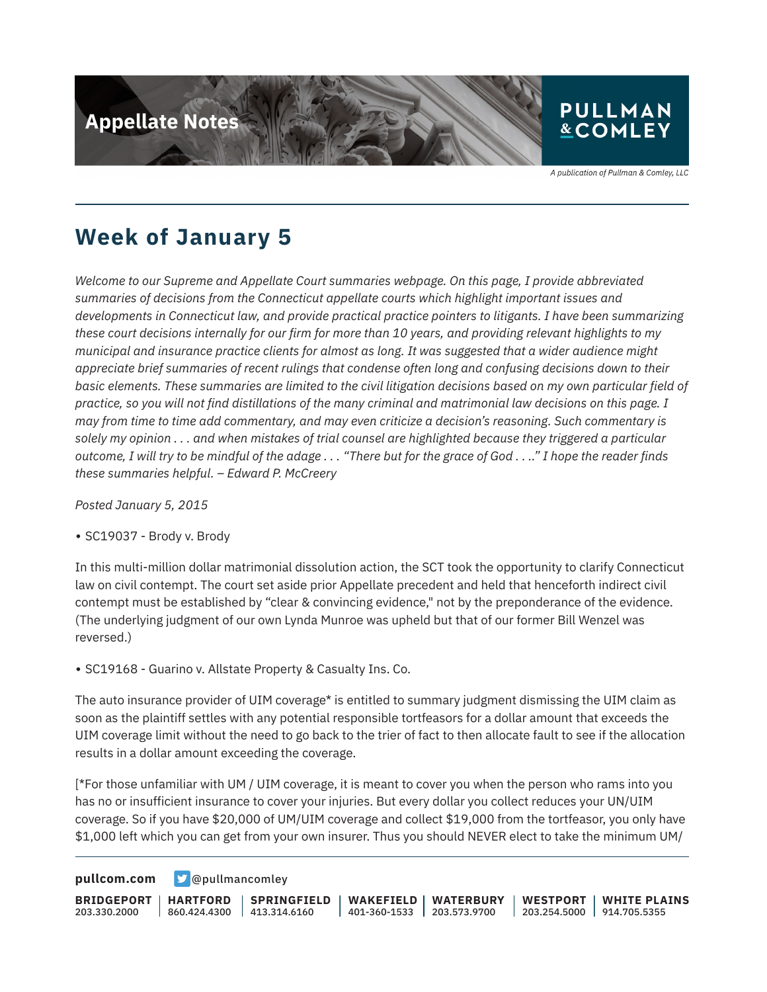

A publication of Pullman & Comley, LLC

### **Week of January 5**

*Welcome to our Supreme and Appellate Court summaries webpage. On this page, I provide abbreviated summaries of decisions from the Connecticut appellate courts which highlight important issues and developments in Connecticut law, and provide practical practice pointers to litigants. I have been summarizing these court decisions internally for our firm for more than 10 years, and providing relevant highlights to my municipal and insurance practice clients for almost as long. It was suggested that a wider audience might appreciate brief summaries of recent rulings that condense often long and confusing decisions down to their basic elements. These summaries are limited to the civil litigation decisions based on my own particular field of practice, so you will not find distillations of the many criminal and matrimonial law decisions on this page. I may from time to time add commentary, and may even criticize a decision's reasoning. Such commentary is solely my opinion . . . and when mistakes of trial counsel are highlighted because they triggered a particular outcome, I will try to be mindful of the adage . . . "There but for the grace of God . . .." I hope the reader finds these summaries helpful. – Edward P. McCreery*

*Posted January 5, 2015*

● SC19037 - Brody v. Brody

In this multi-million dollar matrimonial dissolution action, the SCT took the opportunity to clarify Connecticut law on civil contempt. The court set aside prior Appellate precedent and held that henceforth indirect civil contempt must be established by "clear & convincing evidence," not by the preponderance of the evidence. (The underlying judgment of our own Lynda Munroe was upheld but that of our former Bill Wenzel was reversed.)

• SC19168 - Guarino v. Allstate Property & Casualty Ins. Co.

The auto insurance provider of UIM coverage\* is entitled to summary judgment dismissing the UIM claim as soon as the plaintiff settles with any potential responsible tortfeasors for a dollar amount that exceeds the UIM coverage limit without the need to go back to the trier of fact to then allocate fault to see if the allocation results in a dollar amount exceeding the coverage.

[\*For those unfamiliar with UM / UIM coverage, it is meant to cover you when the person who rams into you has no or insufficient insurance to cover your injuries. But every dollar you collect reduces your UN/UIM coverage. So if you have \$20,000 of UM/UIM coverage and collect \$19,000 from the tortfeasor, you only have \$1,000 left which you can get from your own insurer. Thus you should NEVER elect to take the minimum UM/

**[pullcom.com](https://www.pullcom.com) g** [@pullmancomley](https://twitter.com/PullmanComley)

**BRIDGEPORT** 203.330.2000 **HARTFORD** 860.424.4300 **SPRINGFIELD**  $1413.314.6160$ **WAKEFIELD** 401-360-1533 **WATERBURY** 203.573.9700 **WESTPORT** 203.254.5000 914.705.5355 **WHITE PLAINS**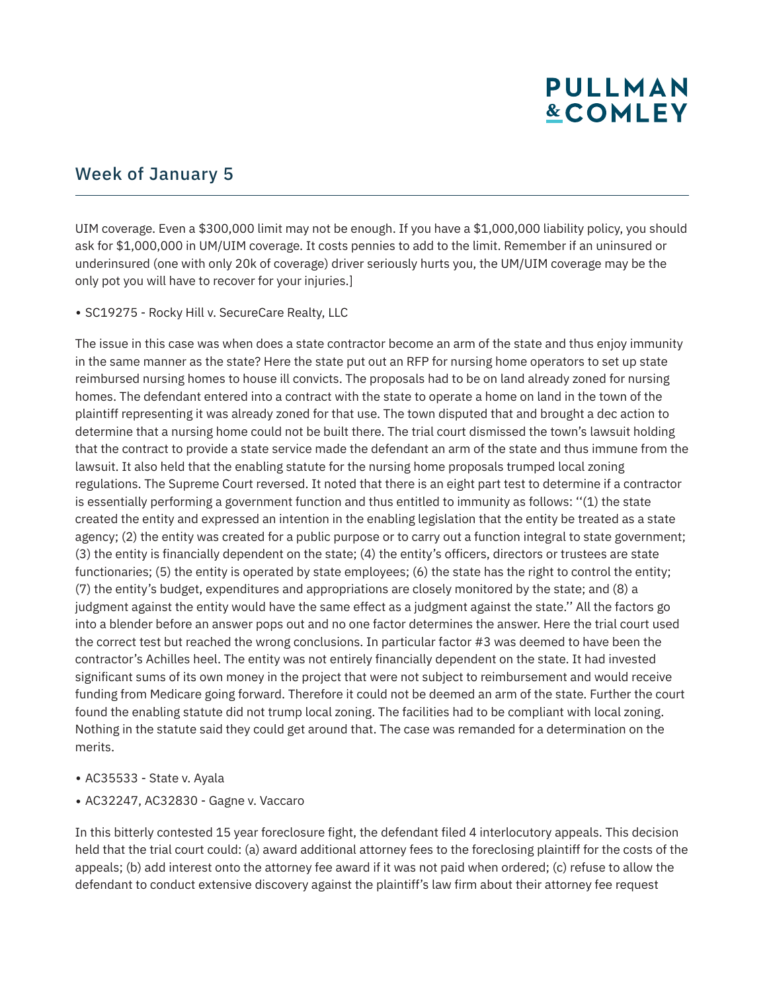# **PULLMAN &COMLEY**

#### Week of January 5

UIM coverage. Even a \$300,000 limit may not be enough. If you have a \$1,000,000 liability policy, you should ask for \$1,000,000 in UM/UIM coverage. It costs pennies to add to the limit. Remember if an uninsured or underinsured (one with only 20k of coverage) driver seriously hurts you, the UM/UIM coverage may be the only pot you will have to recover for your injuries.]

• SC19275 - Rocky Hill v. SecureCare Realty, LLC

The issue in this case was when does a state contractor become an arm of the state and thus enjoy immunity in the same manner as the state? Here the state put out an RFP for nursing home operators to set up state reimbursed nursing homes to house ill convicts. The proposals had to be on land already zoned for nursing homes. The defendant entered into a contract with the state to operate a home on land in the town of the plaintiff representing it was already zoned for that use. The town disputed that and brought a dec action to determine that a nursing home could not be built there. The trial court dismissed the town's lawsuit holding that the contract to provide a state service made the defendant an arm of the state and thus immune from the lawsuit. It also held that the enabling statute for the nursing home proposals trumped local zoning regulations. The Supreme Court reversed. It noted that there is an eight part test to determine if a contractor is essentially performing a government function and thus entitled to immunity as follows: ''(1) the state created the entity and expressed an intention in the enabling legislation that the entity be treated as a state agency; (2) the entity was created for a public purpose or to carry out a function integral to state government; (3) the entity is financially dependent on the state; (4) the entity's officers, directors or trustees are state functionaries; (5) the entity is operated by state employees; (6) the state has the right to control the entity; (7) the entity's budget, expenditures and appropriations are closely monitored by the state; and (8) a judgment against the entity would have the same effect as a judgment against the state.'' All the factors go into a blender before an answer pops out and no one factor determines the answer. Here the trial court used the correct test but reached the wrong conclusions. In particular factor #3 was deemed to have been the contractor's Achilles heel. The entity was not entirely financially dependent on the state. It had invested significant sums of its own money in the project that were not subject to reimbursement and would receive funding from Medicare going forward. Therefore it could not be deemed an arm of the state. Further the court found the enabling statute did not trump local zoning. The facilities had to be compliant with local zoning. Nothing in the statute said they could get around that. The case was remanded for a determination on the merits.

- AC35533 State v. Ayala
- AC32247, AC32830 Gagne v. Vaccaro

In this bitterly contested 15 year foreclosure fight, the defendant filed 4 interlocutory appeals. This decision held that the trial court could: (a) award additional attorney fees to the foreclosing plaintiff for the costs of the appeals; (b) add interest onto the attorney fee award if it was not paid when ordered; (c) refuse to allow the defendant to conduct extensive discovery against the plaintiff's law firm about their attorney fee request